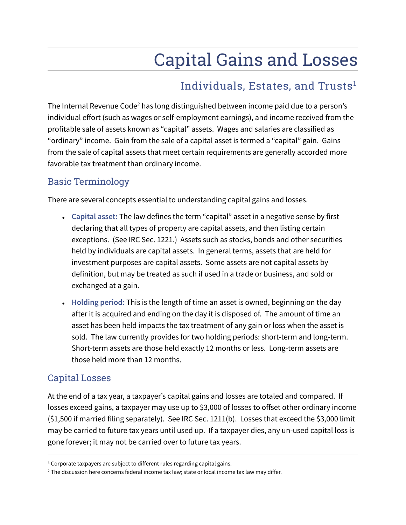# Capital Gains and Losses

### Individuals, Estates, and Trusts<sup>1</sup>

The Internal Revenue Code<sup>2</sup> has long distinguished between income paid due to a person's individual effort (such as wages or self-employment earnings), and income received from the profitable sale of assets known as "capital" assets. Wages and salaries are classified as "ordinary" income. Gain from the sale of a capital asset is termed a "capital" gain. Gains from the sale of capital assets that meet certain requirements are generally accorded more favorable tax treatment than ordinary income.

### Basic Terminology

There are several concepts essential to understanding capital gains and losses.

- **Capital asset:** The law defines the term "capital" asset in a negative sense by first declaring that all types of property are capital assets, and then listing certain exceptions. (See IRC Sec. 1221.) Assets such as stocks, bonds and other securities held by individuals are capital assets. In general terms, assets that are held for investment purposes are capital assets. Some assets are not capital assets by definition, but may be treated as such if used in a trade or business, and sold or exchanged at a gain.
- Holding period: This is the length of time an asset is owned, beginning on the day after it is acquired and ending on the day it is disposed of. The amount of time an asset has been held impacts the tax treatment of any gain or loss when the asset is sold. The law currently provides for two holding periods: short-term and long-term. Short-term assets are those held exactly 12 months or less. Long-term assets are those held more than 12 months.

### Capital Losses

At the end of a tax year, a taxpayer's capital gains and losses are totaled and compared. If losses exceed gains, a taxpayer may use up to \$3,000 of losses to offset other ordinary income (\$1,500 if married filing separately). See IRC Sec. 1211(b). Losses that exceed the \$3,000 limit may be carried to future tax years until used up. If a taxpayer dies, any un-used capital loss is gone forever; it may not be carried over to future tax years.

 $<sup>1</sup>$  Corporate taxpayers are subject to different rules regarding capital gains.</sup>

 $^2$  The discussion here concerns federal income tax law; state or local income tax law may differ.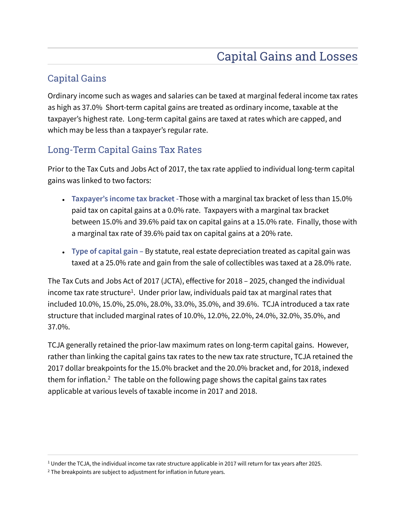### Capital Gains

Ordinary income such as wages and salaries can be taxed at marginal federal income tax rates as high as 37.0% Short-term capital gains are treated as ordinary income, taxable at the taxpayer's highest rate. Long-term capital gains are taxed at rates which are capped, and which may be less than a taxpayer's regular rate.

### Long-Term Capital Gains Tax Rates

Prior to the Tax Cuts and Jobs Act of 2017, the tax rate applied to individual long-term capital gains was linked to two factors:

- **Taxpayer's income tax bracket -**Those with a marginal tax bracket of less than 15.0% paid tax on capital gains at a 0.0% rate. Taxpayers with a marginal tax bracket between 15.0% and 39.6% paid tax on capital gains at a 15.0% rate. Finally, those with a marginal tax rate of 39.6% paid tax on capital gains at a 20% rate.
- **Type of capital gain –** By statute, real estate depreciation treated as capital gain was taxed at a 25.0% rate and gain from the sale of collectibles was taxed at a 28.0% rate.

The Tax Cuts and Jobs Act of 2017 (JCTA), effective for 2018 – 2025, changed the individual income tax rate structure $^1$ . Under prior law, individuals paid tax at marginal rates that included 10.0%, 15.0%, 25.0%, 28.0%, 33.0%, 35.0%, and 39.6%. TCJA introduced a tax rate structure that included marginal rates of 10.0%, 12.0%, 22.0%, 24.0%, 32.0%, 35.0%, and 37.0%.

TCJA generally retained the prior-law maximum rates on long-term capital gains. However, rather than linking the capital gains tax rates to the new tax rate structure, TCJA retained the 2017 dollar breakpoints for the 15.0% bracket and the 20.0% bracket and, for 2018, indexed them for inflation.<sup>2</sup> The table on the following page shows the capital gains tax rates applicable at various levels of taxable income in 2017 and 2018.

 $^{\rm 1}$  Under the TCJA, the individual income tax rate structure applicable in 2017 will return for tax years after 2025.

 $2$  The breakpoints are subject to adjustment for inflation in future years.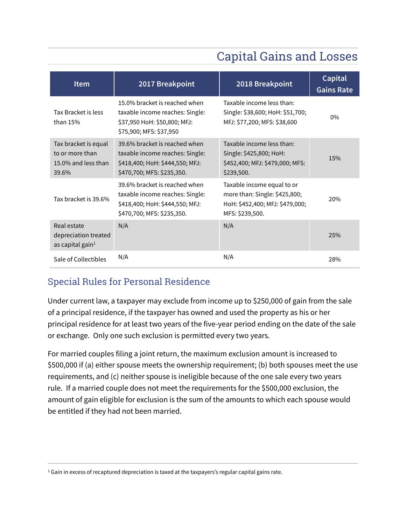# Capital Gains and Losses

| <b>Item</b>                                                             | 2017 Breakpoint                                                                                                                   | 2018 Breakpoint                                                                                                   | Capital<br><b>Gains Rate</b> |
|-------------------------------------------------------------------------|-----------------------------------------------------------------------------------------------------------------------------------|-------------------------------------------------------------------------------------------------------------------|------------------------------|
| Tax Bracket is less<br>than $15%$                                       | 15.0% bracket is reached when<br>taxable income reaches: Single:<br>\$37,950 HoH: \$50,800; MFJ:<br>\$75,900; MFS: \$37,950       | Taxable income less than:<br>Single: \$38,600; HoH: \$51,700;<br>MFJ: \$77,200; MFS: \$38,600                     | $0\%$                        |
| Tax bracket is equal<br>to or more than<br>15.0% and less than<br>39.6% | 39.6% bracket is reached when<br>taxable income reaches: Single:<br>\$418,400; HoH: \$444,550; MFJ:<br>\$470,700; MFS: \$235,350. | Taxable income less than:<br>Single: \$425,800; HoH:<br>\$452,400; MFJ: \$479,000; MFS:<br>\$239,500.             | 15%                          |
| Tax bracket is 39.6%                                                    | 39.6% bracket is reached when<br>taxable income reaches: Single:<br>\$418,400; HoH: \$444,550; MFJ:<br>\$470,700; MFS: \$235,350. | Taxable income equal to or<br>more than: Single: \$425,800;<br>HoH: \$452,400; MFJ: \$479,000;<br>MFS: \$239,500. | 20%                          |
| Real estate<br>depreciation treated<br>as capital gain $1$              | N/A                                                                                                                               | N/A                                                                                                               | 25%                          |
| Sale of Collectibles                                                    | N/A                                                                                                                               | N/A                                                                                                               | 28%                          |

### Special Rules for Personal Residence

Under current law, a taxpayer may exclude from income up to \$250,000 of gain from the sale of a principal residence, if the taxpayer has owned and used the property as his or her principal residence for at least two years of the five-year period ending on the date of the sale or exchange. Only one such exclusion is permitted every two years.

For married couples filing a joint return, the maximum exclusion amount is increased to \$500,000 if (a) either spouse meets the ownership requirement; (b) both spouses meet the use requirements, and (c) neither spouse is ineligible because of the one sale every two years rule. If a married couple does not meet the requirements for the \$500,000 exclusion, the amount of gain eligible for exclusion is the sum of the amounts to which each spouse would be entitled if they had not been married.

 $^1$  Gain in excess of recaptured depreciation is taxed at the taxpayers's regular capital gains rate.